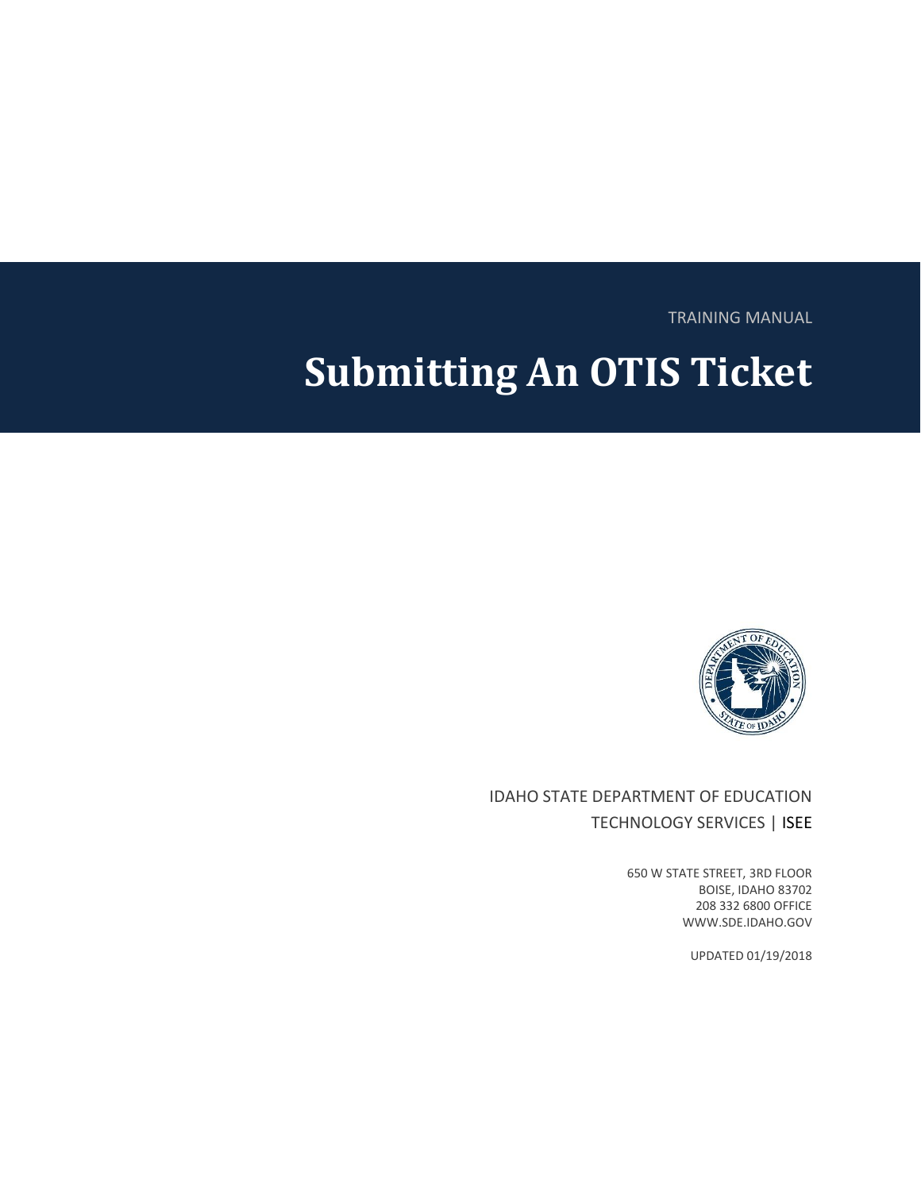TRAINING MANUAL

# **Submitting An OTIS Ticket**



IDAHO STATE DEPARTMENT OF EDUCATION TECHNOLOGY SERVICES | ISEE

> 650 W STATE STREET, 3RD FLOOR BOISE, IDAHO 83702 208 332 6800 OFFICE WWW.SDE.IDAHO.GOV

> > UPDATED 01/19/2018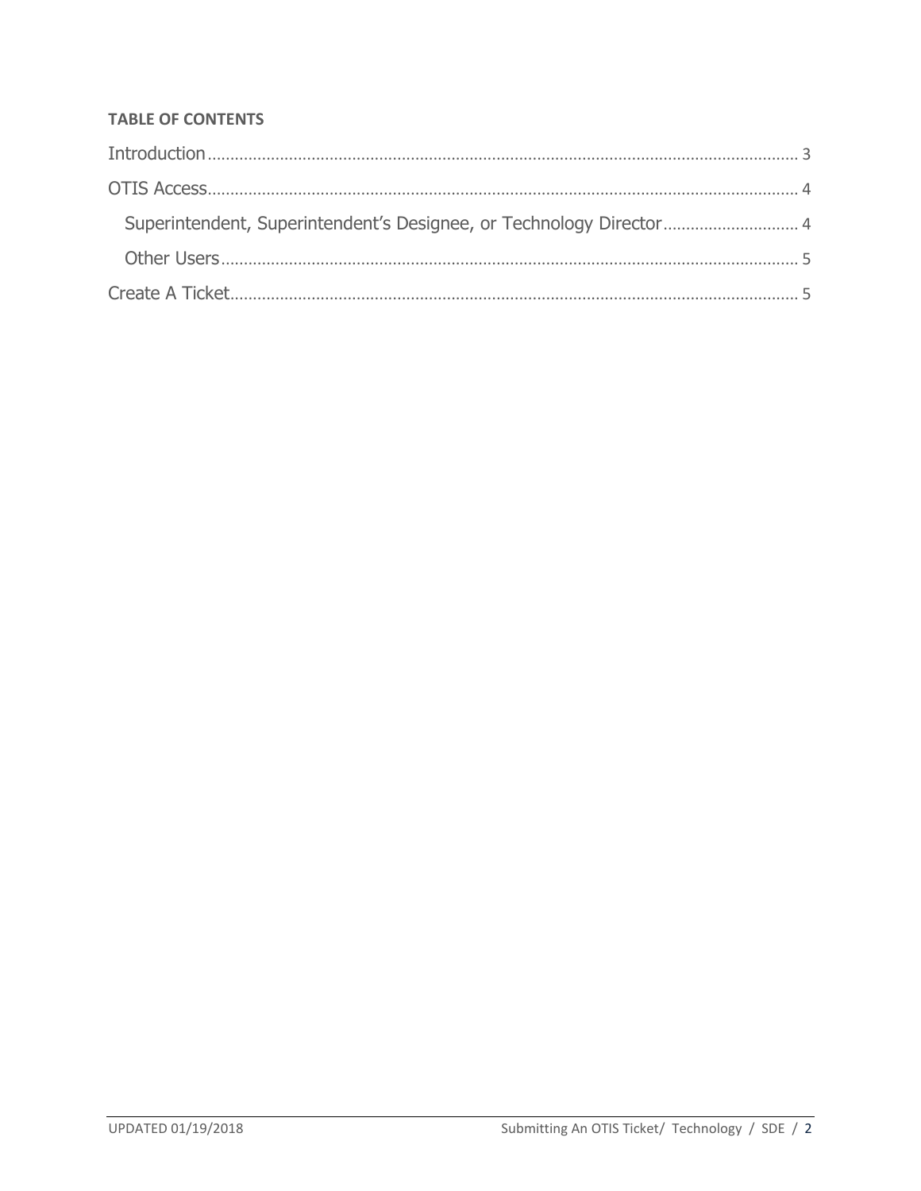## **TABLE OF CONTENTS**

| Superintendent, Superintendent's Designee, or Technology Director 4 |  |
|---------------------------------------------------------------------|--|
|                                                                     |  |
|                                                                     |  |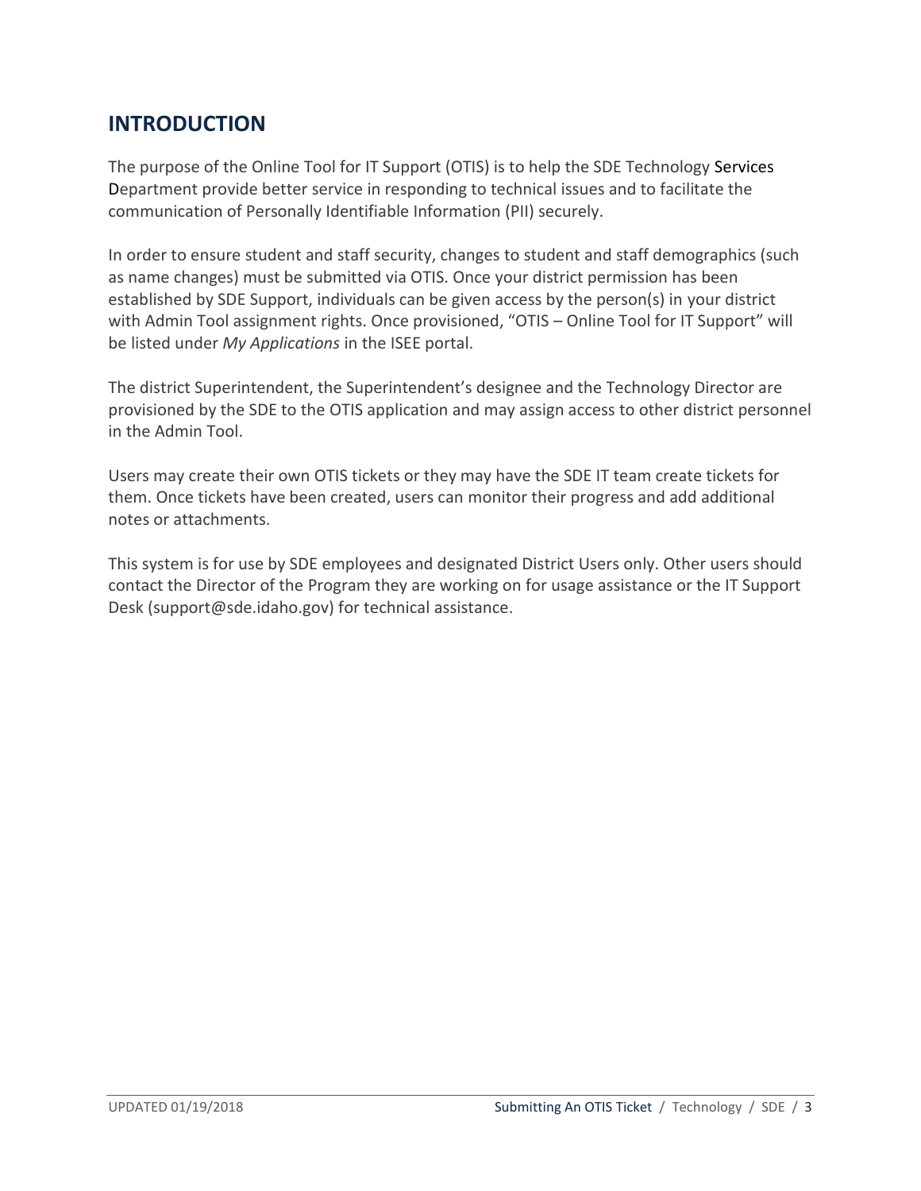## <span id="page-2-0"></span>**INTRODUCTION**

The purpose of the Online Tool for IT Support (OTIS) is to help the SDE Technology Services Department provide better service in responding to technical issues and to facilitate the communication of Personally Identifiable Information (PII) securely.

In order to ensure student and staff security, changes to student and staff demographics (such as name changes) must be submitted via OTIS. Once your district permission has been established by SDE Support, individuals can be given access by the person(s) in your district with Admin Tool assignment rights. Once provisioned, "OTIS - Online Tool for IT Support" will be listed under *My Applications* in the ISEE portal.

The district Superintendent, the Superintendent's designee and the Technology Director are provisioned by the SDE to the OTIS application and may assign access to other district personnel in the Admin Tool.

Users may create their own OTIS tickets or they may have the SDE IT team create tickets for them. Once tickets have been created, users can monitor their progress and add additional notes or attachments.

This system is for use by SDE employees and designated District Users only. Other users should contact the Director of the [Program](http://www.sde.idaho.gov/site/programs.htm) they are working on for usage assistance or the IT Support Desk [\(support@sde.idaho.gov\)](mailto:support@sde.idaho.gov) for technical assistance.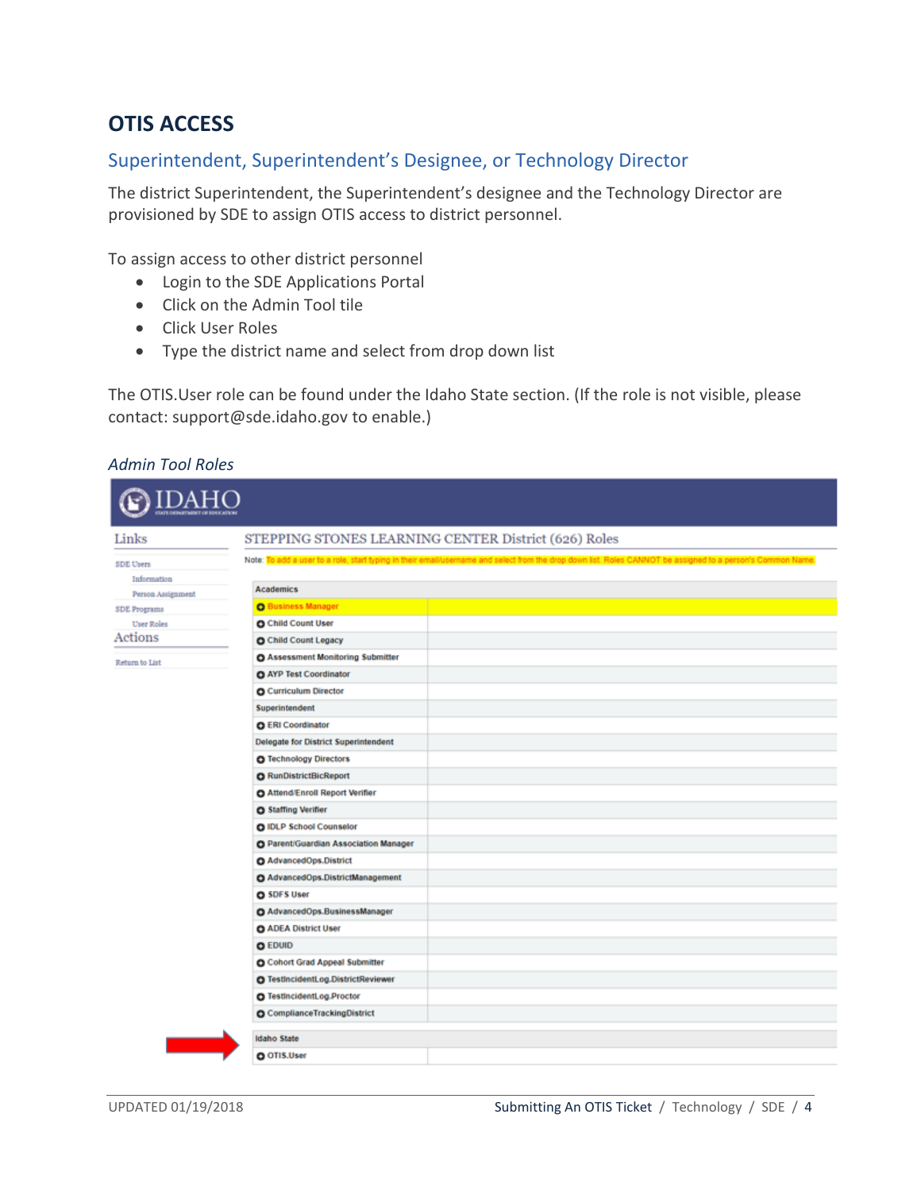# <span id="page-3-0"></span>**OTIS ACCESS**

### <span id="page-3-1"></span>Superintendent, Superintendent's Designee, or Technology Director

The district Superintendent, the Superintendent's designee and the Technology Director are provisioned by SDE to assign OTIS access to district personnel.

To assign access to other district personnel

- Login to the SDE Applications Portal
- Click on the Admin Tool tile
- Click User Roles
- Type the district name and select from drop down list

The OTIS.User role can be found under the Idaho State section. (If the role is not visible, please contact: [support@sde.idaho.gov](mailto:support@sde.idaho.gov) to enable.)

#### *Admin Tool Roles*

| <b>IDAF</b>                                 |                                                                                                                                                             |
|---------------------------------------------|-------------------------------------------------------------------------------------------------------------------------------------------------------------|
|                                             | STEPPING STONES LEARNING CENTER District (626) Roles                                                                                                        |
|                                             | Note: To add a user to a role, start typing in their email/username and select from the drop down list. Roles CANNOT be assigned to a person's Common Name, |
|                                             |                                                                                                                                                             |
| <b>Academics</b>                            |                                                                                                                                                             |
| <b>O</b> Business Manager                   |                                                                                                                                                             |
| <b>O</b> Child Count User                   |                                                                                                                                                             |
| <b>O</b> Child Count Legacy                 |                                                                                                                                                             |
| <b>O Assessment Monitoring Submitter</b>    |                                                                                                                                                             |
| AYP Test Coordinator                        |                                                                                                                                                             |
| <b>O</b> Curriculum Director                |                                                                                                                                                             |
| Superintendent                              |                                                                                                                                                             |
| <b>O</b> ERI Coordinator                    |                                                                                                                                                             |
| <b>Delegate for District Superintendent</b> |                                                                                                                                                             |
| O Technology Directors                      |                                                                                                                                                             |
| <b>O</b> RunDistrictBicReport               |                                                                                                                                                             |
| O Attend/Enroll Report Verifier             |                                                                                                                                                             |
| <b>O</b> Staffing Verifier                  |                                                                                                                                                             |
| O IDLP School Counselor                     |                                                                                                                                                             |
| O Parent/Guardian Association Manager       |                                                                                                                                                             |
| O AdvancedOps.District                      |                                                                                                                                                             |
| AdvancedOps.DistrictManagement              |                                                                                                                                                             |
| <b>O</b> SDFS User                          |                                                                                                                                                             |
| O AdvancedOps.BusinessManager               |                                                                                                                                                             |
| <b>O ADEA District User</b>                 |                                                                                                                                                             |
| <b>O</b> EDUID                              |                                                                                                                                                             |
| <b>O</b> Cohort Grad Appeal Submitter       |                                                                                                                                                             |
| O TestincidentLog.DistrictReviewer          |                                                                                                                                                             |
| O TestincidentLog.Proctor                   |                                                                                                                                                             |
| <b>O</b> Compliance Tracking District       |                                                                                                                                                             |
| <b>Idaho State</b>                          |                                                                                                                                                             |
| O OTIS.User                                 |                                                                                                                                                             |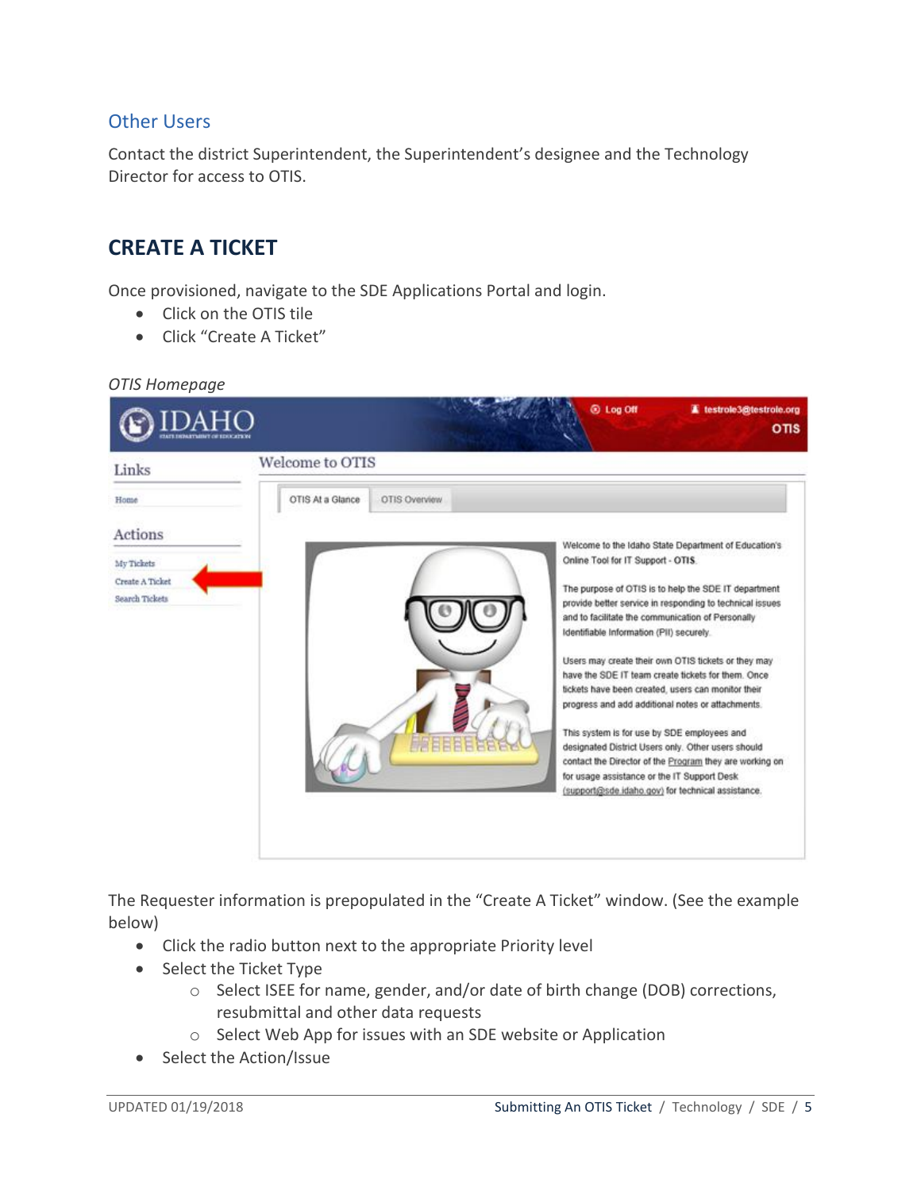### <span id="page-4-0"></span>Other Users

<span id="page-4-1"></span>Contact the district Superintendent, the Superintendent's designee and the Technology Director for access to OTIS.

## **CREATE A TICKET**

Once provisioned, navigate to the SDE Applications Portal and login.

- Click on the OTIS tile
- Click "Create A Ticket"

*OTIS Homepage*



The Requester information is prepopulated in the "Create A Ticket" window. (See the example below)

- Click the radio button next to the appropriate Priority level
- Select the Ticket Type
	- o Select ISEE for name, gender, and/or date of birth change (DOB) corrections, resubmittal and other data requests
	- o Select Web App for issues with an SDE website or Application
- Select the Action/Issue